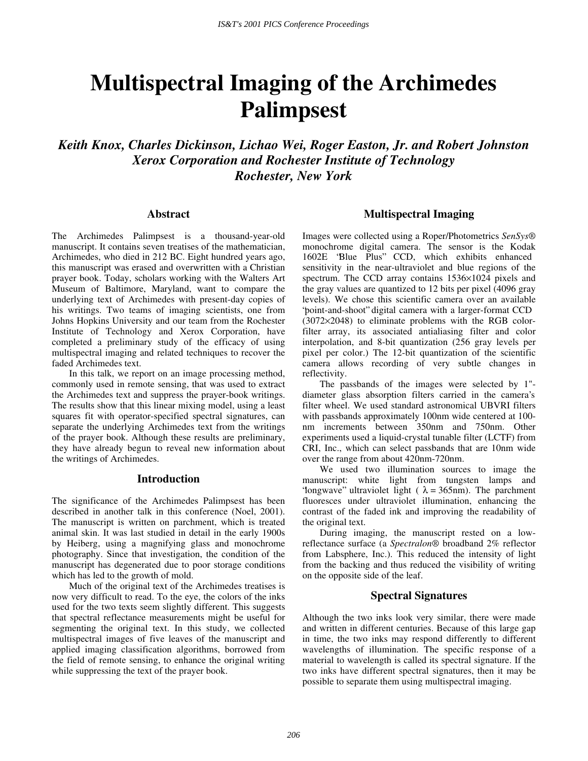# **Multispectral Imaging of the Archimedes Palimpsest**

*Keith Knox, Charles Dickinson, Lichao Wei, Roger Easton, Jr. and Robert Johnston Xerox Corporation and Rochester Institute of Technology Rochester, New York* 

### **Abstract**

The Archimedes Palimpsest is a thousand-year-old manuscript. It contains seven treatises of the mathematician, Archimedes, who died in 212 BC. Eight hundred years ago, this manuscript was erased and overwritten with a Christian prayer book. Today, scholars working with the Walters Art Museum of Baltimore, Maryland, want to compare the underlying text of Archimedes with present-day copies of his writings. Two teams of imaging scientists, one from Johns Hopkins University and our team from the Rochester Institute of Technology and Xerox Corporation, have completed a preliminary study of the efficacy of using multispectral imaging and related techniques to recover the faded Archimedes text.

In this talk, we report on an image processing method, commonly used in remote sensing, that was used to extract the Archimedes text and suppress the prayer-book writings. The results show that this linear mixing model, using a least squares fit with operator-specified spectral signatures, can separate the underlying Archimedes text from the writings of the prayer book. Although these results are preliminary, they have already begun to reveal new information about the writings of Archimedes.

## **Introduction**

The significance of the Archimedes Palimpsest has been described in another talk in this conference (Noel, 2001). The manuscript is written on parchment, which is treated animal skin. It was last studied in detail in the early 1900s by Heiberg, using a magnifying glass and monochrome photography. Since that investigation, the condition of the manuscript has degenerated due to poor storage conditions which has led to the growth of mold.

Much of the original text of the Archimedes treatises is now very difficult to read. To the eye, the colors of the inks used for the two texts seem slightly different. This suggests that spectral reflectance measurements might be useful for segmenting the original text. In this study, we collected multispectral images of five leaves of the manuscript and applied imaging classification algorithms, borrowed from the field of remote sensing, to enhance the original writing while suppressing the text of the prayer book.

## **Multispectral Imaging**

Images were collected using a Roper/Photometrics *SenSys®* monochrome digital camera. The sensor is the Kodak 1602E "Blue Plus" CCD, which exhibits enhanced sensitivity in the near-ultraviolet and blue regions of the spectrum. The CCD array contains 1536×1024 pixels and the gray values are quantized to 12 bits per pixel (4096 gray levels). We chose this scientific camera over an available "point-and-shoot" digital camera with a larger-format CCD (3072×2048) to eliminate problems with the RGB colorfilter array, its associated antialiasing filter and color interpolation, and 8-bit quantization (256 gray levels per pixel per color.) The 12-bit quantization of the scientific camera allows recording of very subtle changes in reflectivity.

The passbands of the images were selected by 1" diameter glass absorption filters carried in the camera's filter wheel. We used standard astronomical UBVRI filters with passbands approximately 100nm wide centered at 100 nm increments between 350nm and 750nm. Other experiments used a liquid-crystal tunable filter (LCTF) from CRI, Inc., which can select passbands that are 10nm wide over the range from about 420nm-720nm.

We used two illumination sources to image the manuscript: white light from tungsten lamps and 'longwave'' ultraviolet light ( $\lambda = 365$ nm). The parchment fluoresces under ultraviolet illumination, enhancing the contrast of the faded ink and improving the readability of the original text.

During imaging, the manuscript rested on a lowreflectance surface (a *Spectralon®* broadband 2% reflector from Labsphere, Inc.). This reduced the intensity of light from the backing and thus reduced the visibility of writing on the opposite side of the leaf.

# **Spectral Signatures**

Although the two inks look very similar, there were made and written in different centuries. Because of this large gap in time, the two inks may respond differently to different wavelengths of illumination. The specific response of a material to wavelength is called its spectral signature. If the two inks have different spectral signatures, then it may be possible to separate them using multispectral imaging.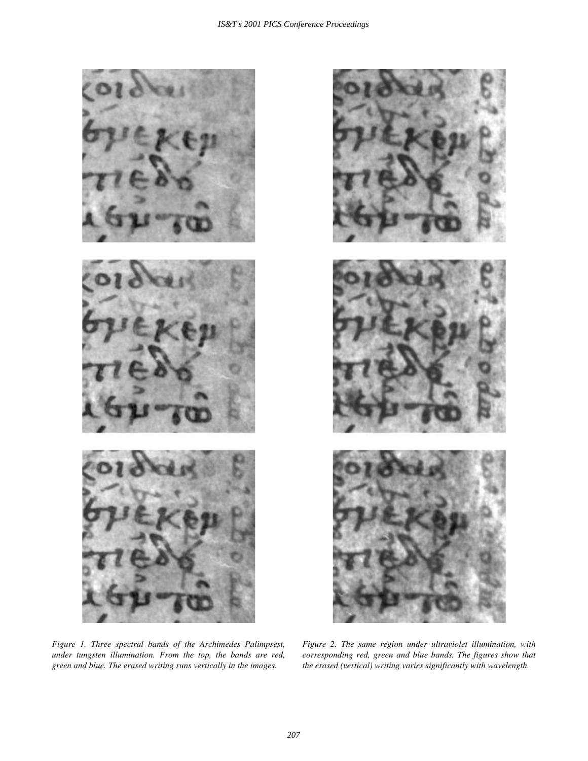

*Figure 1. Three spectral bands of the Archimedes Palimpsest, under tungsten illumination. From the top, the bands are red, green and blue. The erased writing runs vertically in the images.* 



*Figure 2. The same region under ultraviolet illumination, with corresponding red, green and blue bands. The figures show that the erased (vertical) writing varies significantly with wavelength.*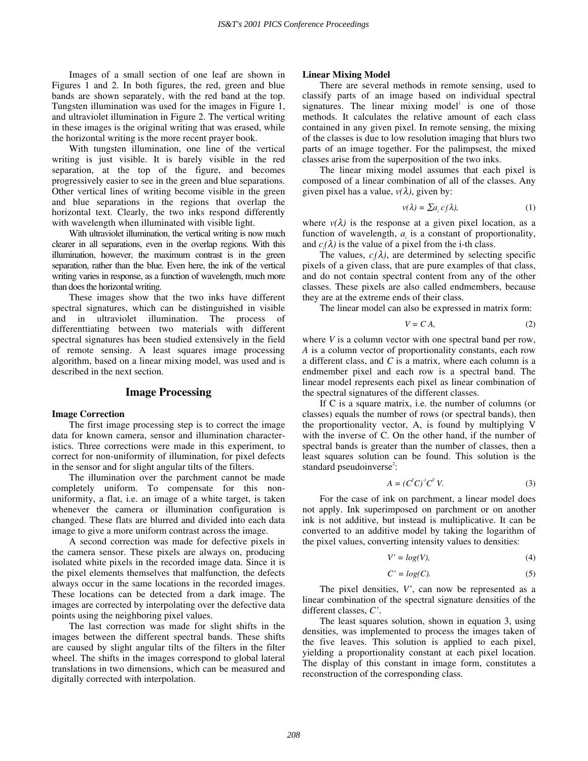Images of a small section of one leaf are shown in Figures 1 and 2. In both figures, the red, green and blue bands are shown separately, with the red band at the top. Tungsten illumination was used for the images in Figure 1, and ultraviolet illumination in Figure 2. The vertical writing in these images is the original writing that was erased, while the horizontal writing is the more recent prayer book.

With tungsten illumination, one line of the vertical writing is just visible. It is barely visible in the red separation, at the top of the figure, and becomes progressively easier to see in the green and blue separations. Other vertical lines of writing become visible in the green and blue separations in the regions that overlap the horizontal text. Clearly, the two inks respond differently with wavelength when illuminated with visible light.

With ultraviolet illumination, the vertical writing is now much clearer in all separations, even in the overlap regions. With this illumination, however, the maximum contrast is in the green separation, rather than the blue. Even here, the ink of the vertical writing varies in response, as a function of wavelength, much more than does the horizontal writing.

These images show that the two inks have different spectral signatures, which can be distinguished in visible and in ultraviolet illumination. The process of differenttiating between two materials with different spectral signatures has been studied extensively in the field of remote sensing. A least squares image processing algorithm, based on a linear mixing model, was used and is described in the next section.

## **Image Processing**

#### **Image Correction**

The first image processing step is to correct the image data for known camera, sensor and illumination characteristics. Three corrections were made in this experiment, to correct for non-uniformity of illumination, for pixel defects in the sensor and for slight angular tilts of the filters.

The illumination over the parchment cannot be made completely uniform. To compensate for this nonuniformity, a flat, i.e. an image of a white target, is taken whenever the camera or illumination configuration is changed. These flats are blurred and divided into each data image to give a more uniform contrast across the image.

A second correction was made for defective pixels in the camera sensor. These pixels are always on, producing isolated white pixels in the recorded image data. Since it is the pixel elements themselves that malfunction, the defects always occur in the same locations in the recorded images. These locations can be detected from a dark image. The images are corrected by interpolating over the defective data points using the neighboring pixel values.

The last correction was made for slight shifts in the images between the different spectral bands. These shifts are caused by slight angular tilts of the filters in the filter wheel. The shifts in the images correspond to global lateral translations in two dimensions, which can be measured and digitally corrected with interpolation.

#### **Linear Mixing Model**

There are several methods in remote sensing, used to classify parts of an image based on individual spectral signatures. The linear mixing model $^1$  is one of those methods. It calculates the relative amount of each class contained in any given pixel. In remote sensing, the mixing of the classes is due to low resolution imaging that blurs two parts of an image together. For the palimpsest, the mixed classes arise from the superposition of the two inks.

The linear mixing model assumes that each pixel is composed of a linear combination of all of the classes. Any given pixel has a value,  $v(\lambda)$ , given by:

$$
v(\lambda) = \sum a_i c_i(\lambda), \tag{1}
$$

where  $v(\lambda)$  is the response at a given pixel location, as a function of wavelength,  $a_i$  is a constant of proportionality, and  $c_i(\lambda)$  is the value of a pixel from the i-th class.

The values,  $c_i(\lambda)$ , are determined by selecting specific pixels of a given class, that are pure examples of that class, and do not contain spectral content from any of the other classes. These pixels are also called endmembers, because they are at the extreme ends of their class.

The linear model can also be expressed in matrix form:

$$
V = CA,\tag{2}
$$

where *V* is a column vector with one spectral band per row, *A* is a column vector of proportionality constants, each row a different class, and *C* is a matrix, where each column is a endmember pixel and each row is a spectral band. The linear model represents each pixel as linear combination of the spectral signatures of the different classes.

If C is a square matrix, i.e. the number of columns (or classes) equals the number of rows (or spectral bands), then the proportionality vector, A, is found by multiplying V with the inverse of C. On the other hand, if the number of spectral bands is greater than the number of classes, then a least squares solution can be found. This solution is the standard pseudoinverse<sup>2</sup>:

$$
A = (CTC)-1CT V.
$$
 (3)

For the case of ink on parchment, a linear model does not apply. Ink superimposed on parchment or on another ink is not additive, but instead is multiplicative. It can be converted to an additive model by taking the logarithm of the pixel values, converting intensity values to densities:

$$
V' = \log(V),\tag{4}
$$

$$
C' = \log(C). \tag{5}
$$

The pixel densities, *V'*, can now be represented as a linear combination of the spectral signature densities of the different classes, *C'*.

The least squares solution, shown in equation 3, using densities, was implemented to process the images taken of the five leaves. This solution is applied to each pixel, yielding a proportionality constant at each pixel location. The display of this constant in image form, constitutes a reconstruction of the corresponding class.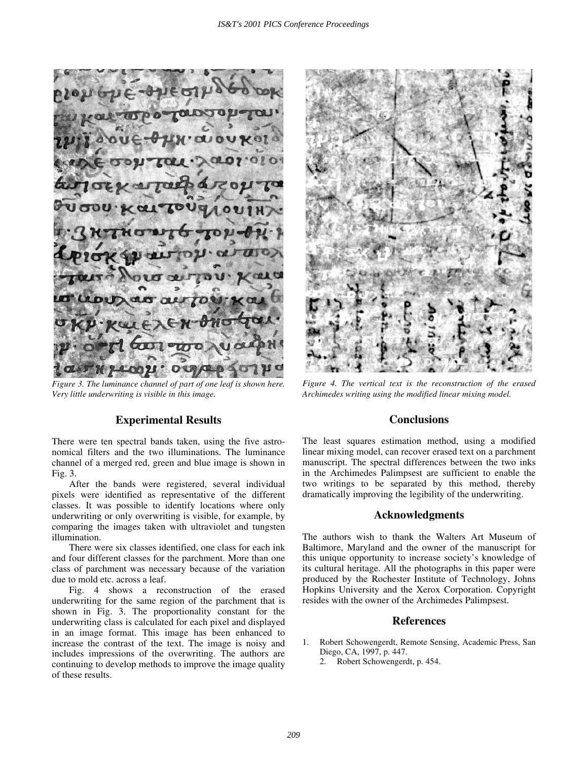$100\mu$ **O** U

*Figure 3. The luminance channel of part of one leaf is shown here. Very little underwriting is visible in this image.* 

# **Experimental Results**

There were ten spectral bands taken, using the five astronomical filters and the two illuminations. The luminance channel of a merged red, green and blue image is shown in Fig. 3.

After the bands were registered, several individual pixels were identified as representative of the different classes. It was possible to identify locations where only underwriting or only overwriting is visible, for example, by comparing the images taken with ultraviolet and tungsten illumination.

There were six classes identified, one class for each ink and four different classes for the parchment. More than one class of parchment was necessary because of the variation due to mold etc. across a leaf.

Fig. 4 shows a reconstruction of the erased underwriting for the same region of the parchment that is shown in Fig. 3. The proportionality constant for the underwriting class is calculated for each pixel and displayed in an image format. This image has been enhanced to increase the contrast of the text. The image is noisy and includes impressions of the overwriting. The authors are continuing to develop methods to improve the image quality of these results.



*Figure 4. The vertical text is the reconstruction of the erased Archimedes writing using the modified linear mixing model.* 

## **Conclusions**

The least squares estimation method, using a modified linear mixing model, can recover erased text on a parchment manuscript. The spectral differences between the two inks in the Archimedes Palimpsest are sufficient to enable the two writings to be separated by this method, thereby dramatically improving the legibility of the underwriting.

## **Acknowledgments**

The authors wish to thank the Walters Art Museum of Baltimore, Maryland and the owner of the manuscript for this unique opportunity to increase society's knowledge of its cultural heritage. All the photographs in this paper were produced by the Rochester Institute of Technology, Johns Hopkins University and the Xerox Corporation. Copyright resides with the owner of the Archimedes Palimpsest.

## **References**

- 1. Robert Schowengerdt, Remote Sensing, Academic Press, San Diego, CA, 1997, p. 447.
	- 2. Robert Schowengerdt, p. 454.